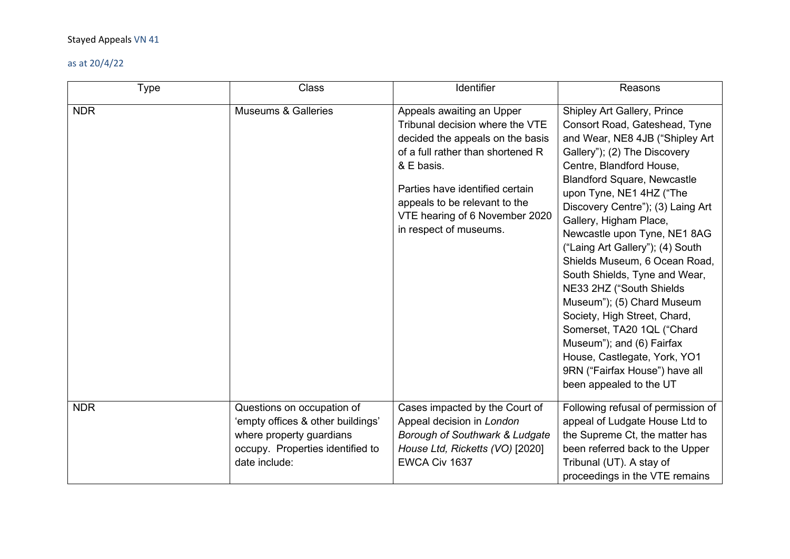| <b>Type</b> | Class                                                                                                                                            | Identifier                                                                                                                                                                                                                                                                          | Reasons                                                                                                                                                                                                                                                                                                                                                                                                                                                                                                                                                                                                                                                                              |
|-------------|--------------------------------------------------------------------------------------------------------------------------------------------------|-------------------------------------------------------------------------------------------------------------------------------------------------------------------------------------------------------------------------------------------------------------------------------------|--------------------------------------------------------------------------------------------------------------------------------------------------------------------------------------------------------------------------------------------------------------------------------------------------------------------------------------------------------------------------------------------------------------------------------------------------------------------------------------------------------------------------------------------------------------------------------------------------------------------------------------------------------------------------------------|
| <b>NDR</b>  | <b>Museums &amp; Galleries</b>                                                                                                                   | Appeals awaiting an Upper<br>Tribunal decision where the VTE<br>decided the appeals on the basis<br>of a full rather than shortened R<br>& E basis.<br>Parties have identified certain<br>appeals to be relevant to the<br>VTE hearing of 6 November 2020<br>in respect of museums. | Shipley Art Gallery, Prince<br>Consort Road, Gateshead, Tyne<br>and Wear, NE8 4JB ("Shipley Art<br>Gallery"); (2) The Discovery<br>Centre, Blandford House,<br><b>Blandford Square, Newcastle</b><br>upon Tyne, NE1 4HZ ("The<br>Discovery Centre"); (3) Laing Art<br>Gallery, Higham Place,<br>Newcastle upon Tyne, NE1 8AG<br>("Laing Art Gallery"); (4) South<br>Shields Museum, 6 Ocean Road,<br>South Shields, Tyne and Wear,<br>NE33 2HZ ("South Shields<br>Museum"); (5) Chard Museum<br>Society, High Street, Chard,<br>Somerset, TA20 1QL ("Chard<br>Museum"); and (6) Fairfax<br>House, Castlegate, York, YO1<br>9RN ("Fairfax House") have all<br>been appealed to the UT |
| <b>NDR</b>  | Questions on occupation of<br>'empty offices & other buildings'<br>where property guardians<br>occupy. Properties identified to<br>date include: | Cases impacted by the Court of<br>Appeal decision in London<br>Borough of Southwark & Ludgate<br>House Ltd, Ricketts (VO) [2020]<br>EWCA Civ 1637                                                                                                                                   | Following refusal of permission of<br>appeal of Ludgate House Ltd to<br>the Supreme Ct, the matter has<br>been referred back to the Upper<br>Tribunal (UT). A stay of<br>proceedings in the VTE remains                                                                                                                                                                                                                                                                                                                                                                                                                                                                              |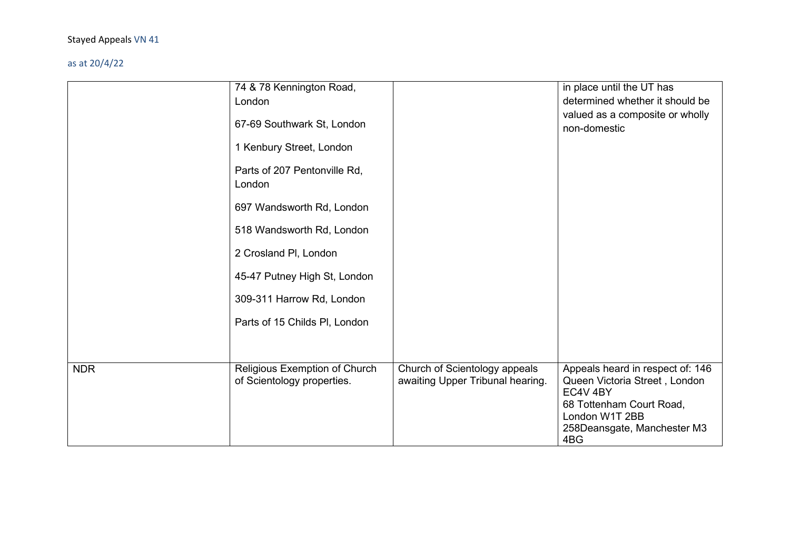|            | 74 & 78 Kennington Road,<br>London<br>67-69 Southwark St, London<br>1 Kenbury Street, London<br>Parts of 207 Pentonville Rd,<br>London<br>697 Wandsworth Rd, London<br>518 Wandsworth Rd, London<br>2 Crosland PI, London<br>45-47 Putney High St, London<br>309-311 Harrow Rd, London<br>Parts of 15 Childs PI, London |                                                                   | in place until the UT has<br>determined whether it should be<br>valued as a composite or wholly<br>non-domestic      |
|------------|-------------------------------------------------------------------------------------------------------------------------------------------------------------------------------------------------------------------------------------------------------------------------------------------------------------------------|-------------------------------------------------------------------|----------------------------------------------------------------------------------------------------------------------|
| <b>NDR</b> | Religious Exemption of Church<br>of Scientology properties.                                                                                                                                                                                                                                                             | Church of Scientology appeals<br>awaiting Upper Tribunal hearing. | Appeals heard in respect of: 146<br>Queen Victoria Street, London<br>EC4V <sub>4BY</sub><br>68 Tottenham Court Road, |
|            |                                                                                                                                                                                                                                                                                                                         |                                                                   | London W1T 2BB<br>258Deansgate, Manchester M3<br>4BG                                                                 |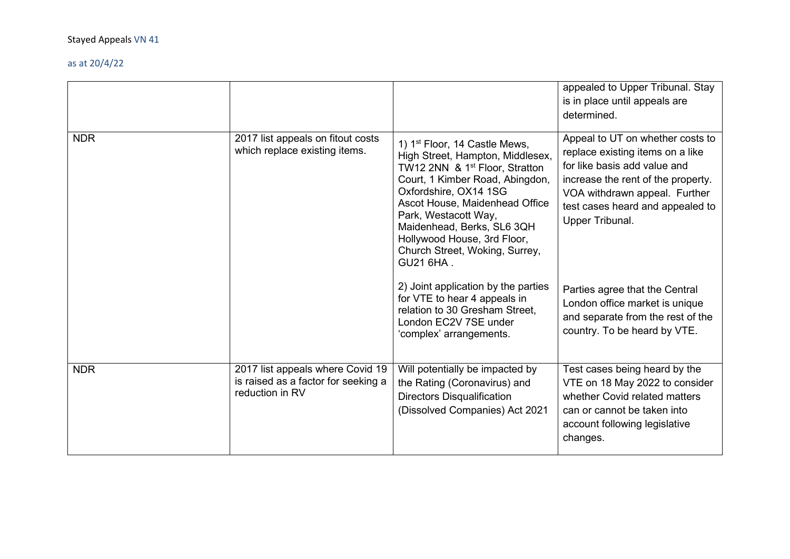|            |                                                                                            |                                                                                                                                                                                                                                                                                                                                                               | appealed to Upper Tribunal. Stay<br>is in place until appeals are<br>determined.                                                                                                                                                   |
|------------|--------------------------------------------------------------------------------------------|---------------------------------------------------------------------------------------------------------------------------------------------------------------------------------------------------------------------------------------------------------------------------------------------------------------------------------------------------------------|------------------------------------------------------------------------------------------------------------------------------------------------------------------------------------------------------------------------------------|
| <b>NDR</b> | 2017 list appeals on fitout costs<br>which replace existing items.                         | 1) 1 <sup>st</sup> Floor, 14 Castle Mews,<br>High Street, Hampton, Middlesex,<br>TW12 2NN & 1 <sup>st</sup> Floor, Stratton<br>Court, 1 Kimber Road, Abingdon,<br>Oxfordshire, OX14 1SG<br>Ascot House, Maidenhead Office<br>Park, Westacott Way,<br>Maidenhead, Berks, SL6 3QH<br>Hollywood House, 3rd Floor,<br>Church Street, Woking, Surrey,<br>GU21 6HA. | Appeal to UT on whether costs to<br>replace existing items on a like<br>for like basis add value and<br>increase the rent of the property.<br>VOA withdrawn appeal. Further<br>test cases heard and appealed to<br>Upper Tribunal. |
|            |                                                                                            | 2) Joint application by the parties<br>for VTE to hear 4 appeals in<br>relation to 30 Gresham Street,<br>London EC2V 7SE under<br>'complex' arrangements.                                                                                                                                                                                                     | Parties agree that the Central<br>London office market is unique<br>and separate from the rest of the<br>country. To be heard by VTE.                                                                                              |
| <b>NDR</b> | 2017 list appeals where Covid 19<br>is raised as a factor for seeking a<br>reduction in RV | Will potentially be impacted by<br>the Rating (Coronavirus) and<br><b>Directors Disqualification</b><br>(Dissolved Companies) Act 2021                                                                                                                                                                                                                        | Test cases being heard by the<br>VTE on 18 May 2022 to consider<br>whether Covid related matters<br>can or cannot be taken into<br>account following legislative<br>changes.                                                       |